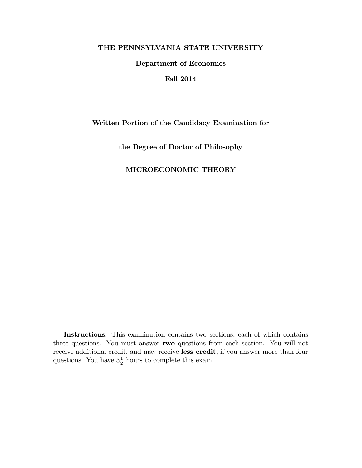## THE PENNSYLVANIA STATE UNIVERSITY

Department of Economics

Fall 2014

### Written Portion of the Candidacy Examination for

the Degree of Doctor of Philosophy

# MICROECONOMIC THEORY

Instructions: This examination contains two sections, each of which contains three questions. You must answer two questions from each section. You will not receive additional credit, and may receive less credit, if you answer more than four questions. You have  $3\frac{1}{2}$  $\frac{1}{2}$  hours to complete this exam.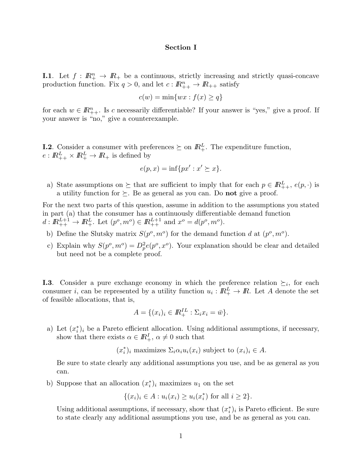#### Section I

**I.1**. Let  $f: \mathbb{R}^n_+ \to \mathbb{R}^+$  be a continuous, strictly increasing and strictly quasi-concave production function. Fix  $q > 0$ , and let  $c: \mathbb{R}_{++}^n \to \mathbb{R}_{++}$  satisfy

$$
c(w) = \min\{wx : f(x) \ge q\}
$$

for each  $w \in \mathbb{R}_{++}^n$ . Is c necessarily differentiable? If your answer is "yes," give a proof. If your answer is "no," give a counterexample.

**I.2**. Consider a consumer with preferences  $\succeq$  on  $\mathbb{R}^L_+$ . The expenditure function,  $e: I\!\!R_{++}^L \times I\!\!R_{+}^L \rightarrow I\!\!R_{+}$  is defined by

$$
e(p, x) = \inf\{px' : x' \succeq x\}.
$$

a) State assumptions on  $\succeq$  that are sufficient to imply that for each  $p \in \mathbb{R}^L_+$ ,  $e(p, \cdot)$  is a utility function for  $\succeq$ . Be as general as you can. Do **not** give a proof.

For the next two parts of this question, assume in addition to the assumptions you stated in part (a) that the consumer has a continuously differentiable demand function  $d: \mathbb{R}^{L+1}_{++} \to \mathbb{R}^L_+$ . Let  $(p^o, m^o) \in \mathbb{R}^{L+1}_{++}$  and  $x^o = d(p^o, m^o)$ .

- b) Define the Slutsky matrix  $S(p^o, m^o)$  for the demand function d at  $(p^o, m^o)$ .
- c) Explain why  $S(p^o, m^o) = D_p^2 e(p^o, x^o)$ . Your explanation should be clear and detailed but need not be a complete proof.

**I.3**. Consider a pure exchange economy in which the preference relation  $\succeq_i$ , for each consumer *i*, can be represented by a utility function  $u_i : \mathbb{R}^L_+ \to \mathbb{R}$ . Let A denote the set of feasible allocations, that is,

$$
A = \{(x_i)_i \in I\!\!R_+^{IL} : \Sigma_i x_i = \bar{w}\}.
$$

a) Let  $(x_i^*)_i$  be a Pareto efficient allocation. Using additional assumptions, if necessary, show that there exists  $\alpha \in \mathbb{R}^I_+$ ,  $\alpha \neq 0$  such that

> $(x_i^*$  $i)$ <sub>i</sub> maximizes  $\Sigma_i \alpha_i u_i(x_i)$  subject to  $(x_i)_i \in A$ .

Be sure to state clearly any additional assumptions you use, and be as general as you can.

b) Suppose that an allocation  $(x_i^*)_i$  maximizes  $u_1$  on the set

$$
\{(x_i)_i \in A : u_i(x_i) \ge u_i(x_i^*) \text{ for all } i \ge 2\}.
$$

Using additional assumptions, if necessary, show that  $(x_i^*)_i$  is Pareto efficient. Be sure to state clearly any additional assumptions you use, and be as general as you can.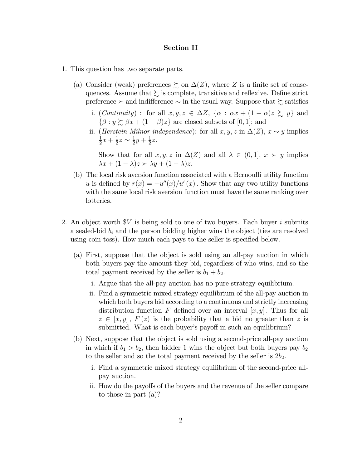### Section II

- 1. This question has two separate parts.
	- (a) Consider (weak) preferences  $\succeq$  on  $\Delta(Z)$ , where Z is a finite set of consequences. Assume that  $\succsim$  is complete, transitive and reflexive. Define strict preference  $\succ$  and indifference  $\sim$  in the usual way. Suppose that  $\succsim$  satisfies
		- i. (Continuity) : for all  $x, y, z \in \Delta Z$ ,  $\{\alpha : \alpha x + (1 \alpha)z \succeq y\}$  and  $\{\beta : y \succsim \beta x + (1 - \beta)z\}$  are closed subsets of [0, 1]; and
		- ii. (*Herstein-Milnor independence*): for all  $x, y, z$  in  $\Delta(Z)$ ,  $x \sim y$  implies 1  $rac{1}{2}x + \frac{1}{2}$  $\frac{1}{2}z \sim \frac{1}{2}$  $rac{1}{2}y + \frac{1}{2}$  $rac{1}{2}z$ .

Show that for all  $x, y, z$  in  $\Delta(Z)$  and all  $\lambda \in (0, 1], x \succ y$  implies  $\lambda x + (1 - \lambda)z > \lambda y + (1 - \lambda)z.$ 

- (b) The local risk aversion function associated with a Bernoulli utility function u is defined by  $r(x) = -u''(x)/u'(x)$ . Show that any two utility functions with the same local risk aversion function must have the same ranking over lotteries.
- 2. An object worth  $V$  is being sold to one of two buyers. Each buyer i submits a sealed-bid  $b_i$  and the person bidding higher wins the object (ties are resolved using coin toss). How much each pays to the seller is specified below.
	- (a) First, suppose that the object is sold using an all-pay auction in which both buyers pay the amount they bid, regardless of who wins, and so the total payment received by the seller is  $b_1 + b_2$ .
		- i. Argue that the all-pay auction has no pure strategy equilibrium.
		- ii. Find a symmetric mixed strategy equilibrium of the all-pay auction in which both buyers bid according to a continuous and strictly increasing distribution function F defined over an interval  $[x, y]$ . Thus for all  $z \in [x, y]$ ,  $F(z)$  is the probability that a bid no greater than z is submitted. What is each buyer's payoff in such an equilibrium?
	- (b) Next, suppose that the object is sold using a second-price all-pay auction in which if  $b_1 > b_2$ , then bidder 1 wins the object but both buyers pay  $b_2$ to the seller and so the total payment received by the seller is  $2b_2$ .
		- i. Find a symmetric mixed strategy equilibrium of the second-price allpay auction.
		- ii. How do the payoffs of the buyers and the revenue of the seller compare to those in part (a)?